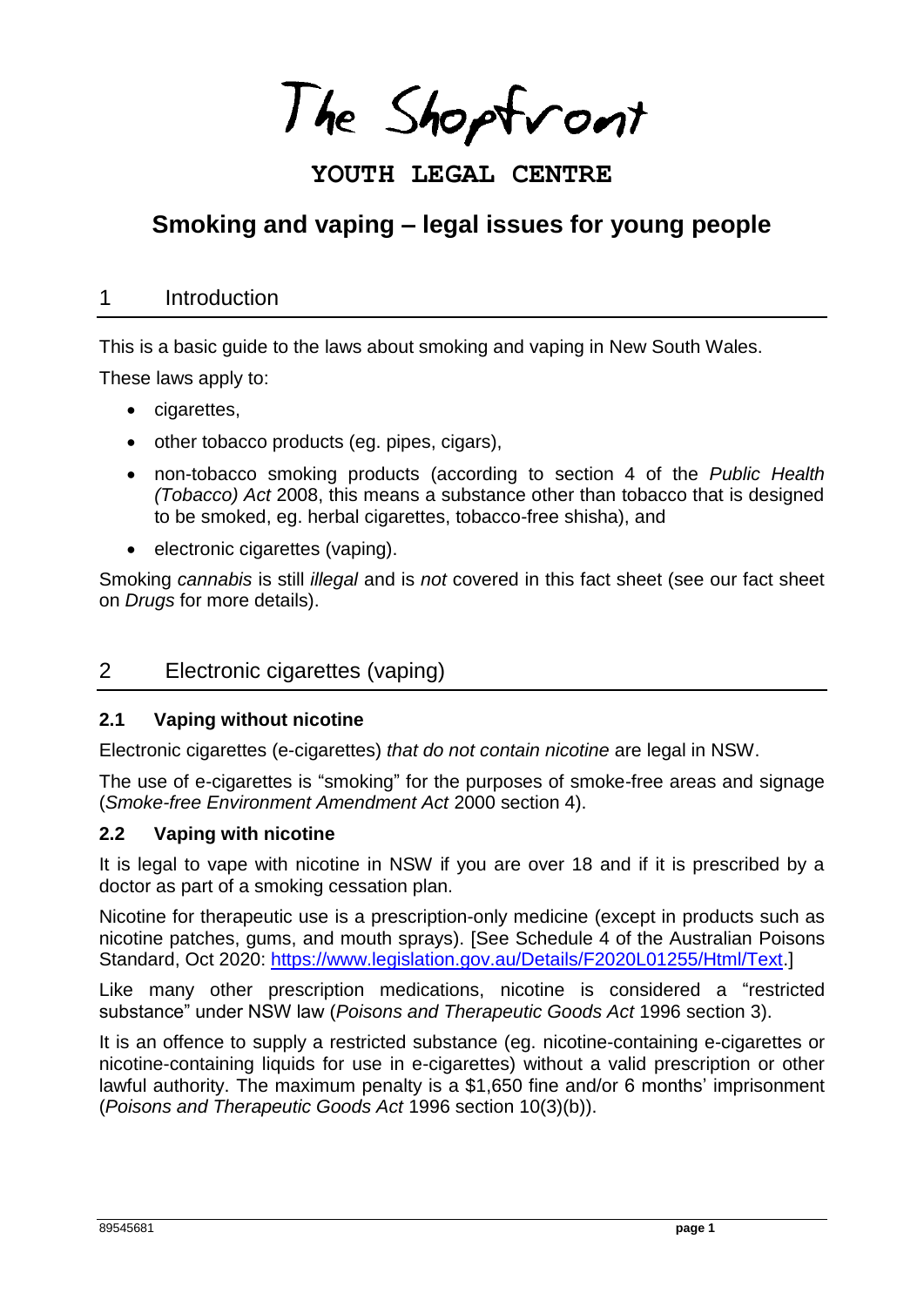The Shoptront

## **YOUTH LEGAL CENTRE**

# **Smoking and vaping – legal issues for young people**

### 1 Introduction

This is a basic guide to the laws about smoking and vaping in New South Wales.

These laws apply to:

- cigarettes,
- other tobacco products (eg. pipes, cigars),
- non-tobacco smoking products (according to section 4 of the *Public Health (Tobacco) Act* 2008, this means a substance other than tobacco that is designed to be smoked, eg. herbal cigarettes, tobacco-free shisha), and
- electronic cigarettes (vaping).

Smoking *cannabis* is still *illegal* and is *not* covered in this fact sheet (see our fact sheet on *Drugs* for more details).

## 2 Electronic cigarettes (vaping)

#### **2.1 Vaping without nicotine**

Electronic cigarettes (e-cigarettes) *that do not contain nicotine* are legal in NSW.

The use of e-cigarettes is "smoking" for the purposes of smoke-free areas and signage (*Smoke-free Environment Amendment Act* 2000 section 4).

#### **2.2 Vaping with nicotine**

It is legal to vape with nicotine in NSW if you are over 18 and if it is prescribed by a doctor as part of a smoking cessation plan.

Nicotine for therapeutic use is a prescription-only medicine (except in products such as nicotine patches, gums, and mouth sprays). [See Schedule 4 of the Australian Poisons Standard, Oct 2020: [https://www.legislation.gov.au/Details/F2020L01255/Html/Text.](https://www.legislation.gov.au/Details/F2020L01255/Html/Text)]

Like many other prescription medications, nicotine is considered a "restricted substance" under NSW law (*Poisons and Therapeutic Goods Act* 1996 section 3).

It is an offence to supply a restricted substance (eg. nicotine-containing e-cigarettes or nicotine-containing liquids for use in e-cigarettes) without a valid prescription or other lawful authority. The maximum penalty is a \$1,650 fine and/or 6 months' imprisonment (*Poisons and Therapeutic Goods Act* 1996 section 10(3)(b)).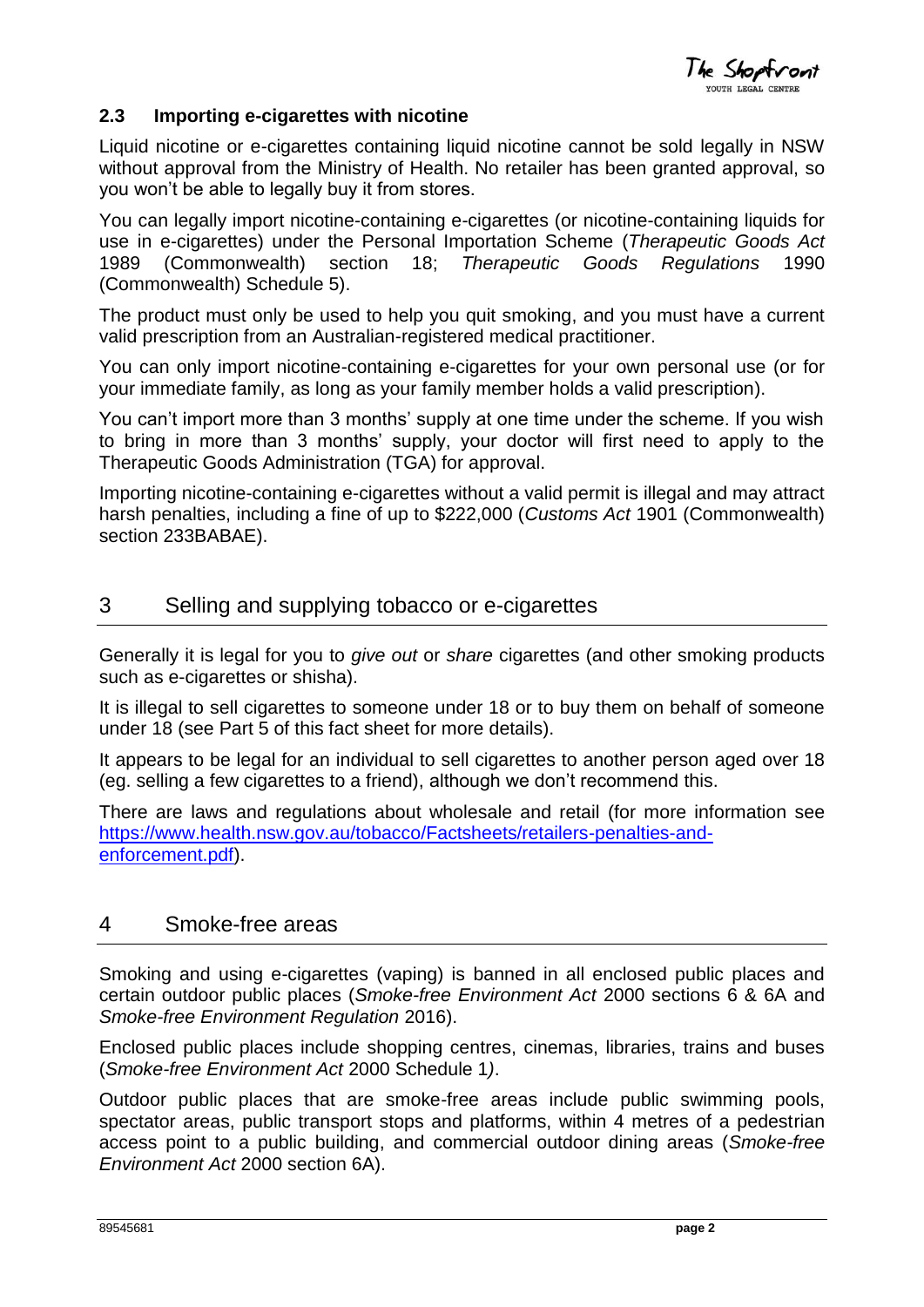The Shoptront

#### **2.3 Importing e-cigarettes with nicotine**

Liquid nicotine or e-cigarettes containing liquid nicotine cannot be sold legally in NSW without approval from the Ministry of Health. No retailer has been granted approval, so you won't be able to legally buy it from stores.

You can legally import nicotine-containing e-cigarettes (or nicotine-containing liquids for use in e-cigarettes) under the Personal Importation Scheme (*Therapeutic Goods Act*  1989 (Commonwealth) section 18; *Therapeutic Goods Regulations* 1990 (Commonwealth) Schedule 5).

The product must only be used to help you quit smoking, and you must have a current valid prescription from an Australian-registered medical practitioner.

You can only import nicotine-containing e-cigarettes for your own personal use (or for your immediate family, as long as your family member holds a valid prescription).

You can't import more than 3 months' supply at one time under the scheme. If you wish to bring in more than 3 months' supply, your doctor will first need to apply to the Therapeutic Goods Administration (TGA) for approval.

Importing nicotine-containing e-cigarettes without a valid permit is illegal and may attract harsh penalties, including a fine of up to \$222,000 (*Customs Act* 1901 (Commonwealth) section 233BABAE).

## 3 Selling and supplying tobacco or e-cigarettes

Generally it is legal for you to *give out* or *share* cigarettes (and other smoking products such as e-cigarettes or shisha).

It is illegal to sell cigarettes to someone under 18 or to buy them on behalf of someone under 18 (see Part 5 of this fact sheet for more details).

It appears to be legal for an individual to sell cigarettes to another person aged over 18 (eg. selling a few cigarettes to a friend), although we don't recommend this.

There are laws and regulations about wholesale and retail (for more information see [https://www.health.nsw.gov.au/tobacco/Factsheets/retailers-penalties-and](https://www.health.nsw.gov.au/tobacco/Factsheets/retailers-penalties-and-enforcement.pdf)[enforcement.pdf\)](https://www.health.nsw.gov.au/tobacco/Factsheets/retailers-penalties-and-enforcement.pdf).

#### 4 Smoke-free areas

Smoking and using e-cigarettes (vaping) is banned in all enclosed public places and certain outdoor public places (*Smoke-free Environment Act* 2000 sections 6 & 6A and *Smoke-free Environment Regulation* 2016).

Enclosed public places include shopping centres, cinemas, libraries, trains and buses (*Smoke-free Environment Act* 2000 Schedule 1*)*.

Outdoor public places that are smoke-free areas include public swimming pools, spectator areas, public transport stops and platforms, within 4 metres of a pedestrian access point to a public building, and commercial outdoor dining areas (*Smoke-free Environment Act* 2000 section 6A).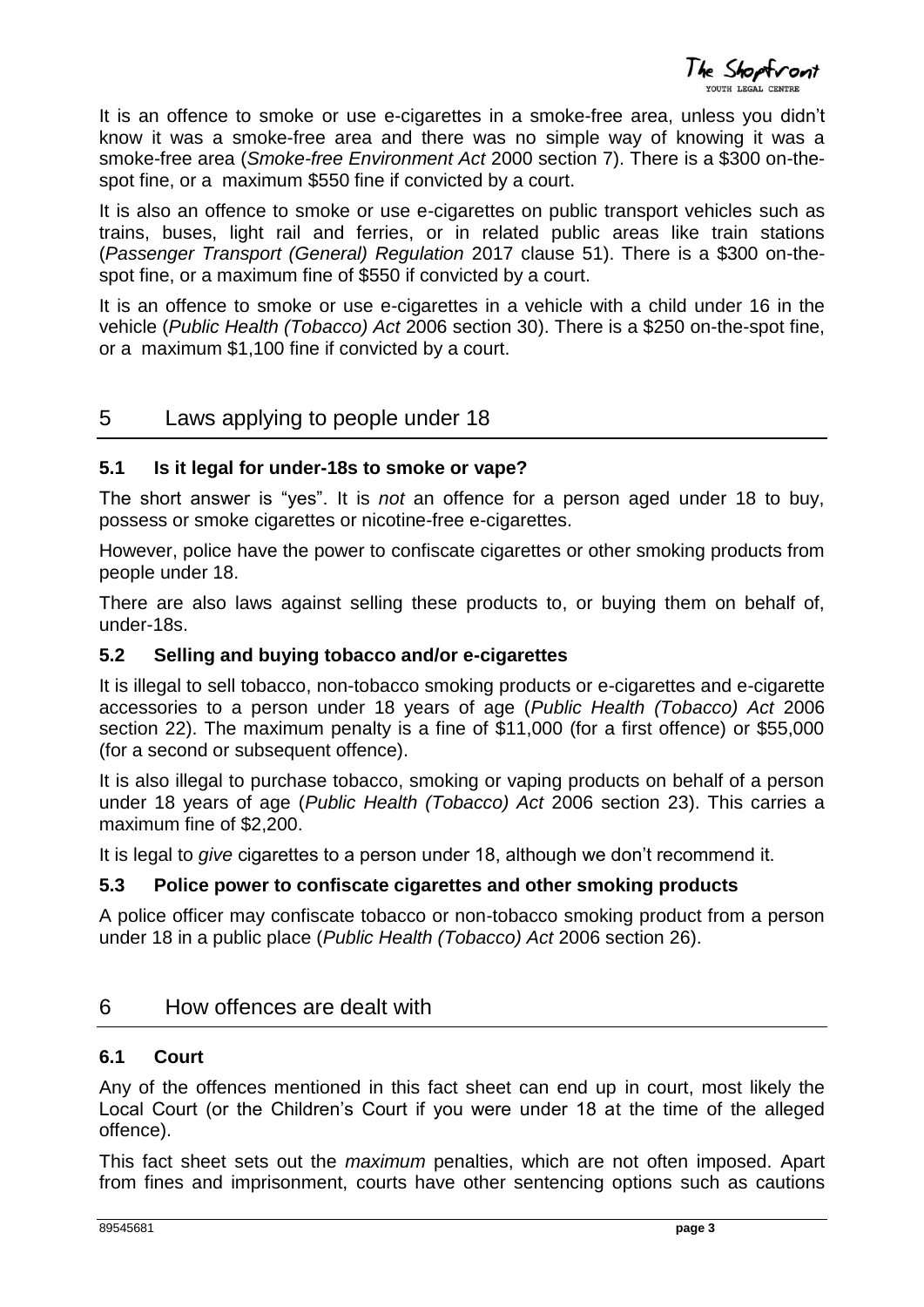The Shoptront

It is an offence to smoke or use e-cigarettes in a smoke-free area, unless you didn't know it was a smoke-free area and there was no simple way of knowing it was a smoke-free area (*Smoke-free Environment Act* 2000 section 7). There is a \$300 on-thespot fine, or a maximum \$550 fine if convicted by a court.

It is also an offence to smoke or use e-cigarettes on public transport vehicles such as trains, buses, light rail and ferries, or in related public areas like train stations (*Passenger Transport (General) Regulation* 2017 clause 51). There is a \$300 on-thespot fine, or a maximum fine of \$550 if convicted by a court.

It is an offence to smoke or use e-cigarettes in a vehicle with a child under 16 in the vehicle (*Public Health (Tobacco) Act* 2006 section 30). There is a \$250 on-the-spot fine, or a maximum \$1,100 fine if convicted by a court.

## 5 Laws applying to people under 18

#### **5.1 Is it legal for under-18s to smoke or vape?**

The short answer is "yes". It is *not* an offence for a person aged under 18 to buy, possess or smoke cigarettes or nicotine-free e-cigarettes.

However, police have the power to confiscate cigarettes or other smoking products from people under 18.

There are also laws against selling these products to, or buying them on behalf of, under-18s.

#### **5.2 Selling and buying tobacco and/or e-cigarettes**

It is illegal to sell tobacco, non-tobacco smoking products or e-cigarettes and e-cigarette accessories to a person under 18 years of age (*Public Health (Tobacco) Act* 2006 section 22). The maximum penalty is a fine of \$11,000 (for a first offence) or \$55,000 (for a second or subsequent offence).

It is also illegal to purchase tobacco, smoking or vaping products on behalf of a person under 18 years of age (*Public Health (Tobacco) Act* 2006 section 23). This carries a maximum fine of \$2,200.

It is legal to *give* cigarettes to a person under 18, although we don't recommend it.

#### **5.3 Police power to confiscate cigarettes and other smoking products**

A police officer may confiscate tobacco or non-tobacco smoking product from a person under 18 in a public place (*Public Health (Tobacco) Act* 2006 section 26).

#### 6 How offences are dealt with

#### **6.1 Court**

Any of the offences mentioned in this fact sheet can end up in court, most likely the Local Court (or the Children's Court if you were under 18 at the time of the alleged offence).

This fact sheet sets out the *maximum* penalties, which are not often imposed. Apart from fines and imprisonment, courts have other sentencing options such as cautions